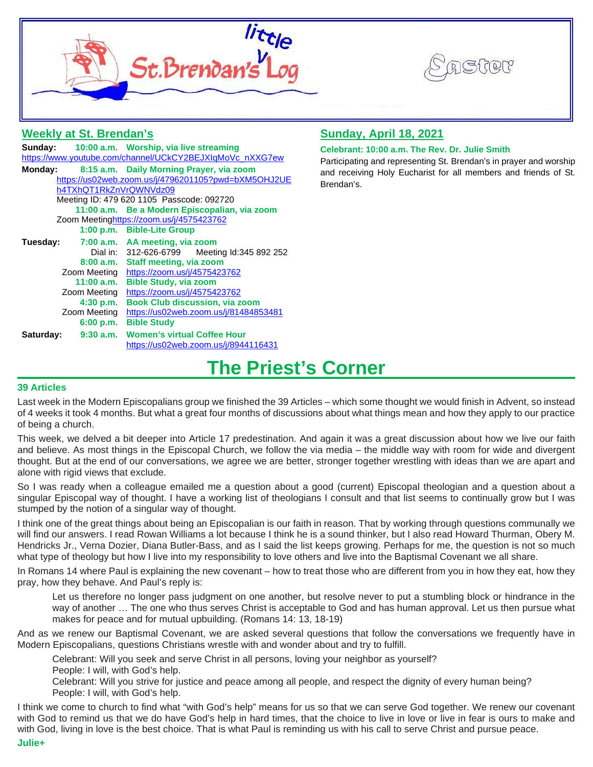



# **Weekly at St. Brendan's**

|                                                          |              | Sunday: 10:00 a.m. Worship, via live streaming |
|----------------------------------------------------------|--------------|------------------------------------------------|
| https://www.youtube.com/channel/UCkCY2BEJXIqMoVc_nXXG7ew |              |                                                |
| Monday:                                                  |              | 8:15 a.m. Daily Morning Prayer, via zoom       |
| https://us02web.zoom.us/j/4796201105?pwd=bXM5OHJ2UE      |              |                                                |
| h4TXhQT1RkZnVrQWNVdz09                                   |              |                                                |
| Meeting ID: 479 620 1105 Passcode: 092720                |              |                                                |
|                                                          |              | 11:00 a.m. Be a Modern Episcopalian, via zoom  |
| Zoom Meetinghttps://zoom.us/j/4575423762                 |              |                                                |
|                                                          |              | 1:00 p.m. Bible-Lite Group                     |
| Tuesday:                                                 |              | 7:00 a.m. AA meeting, via zoom                 |
|                                                          |              | Dial in: 312-626-6799 Meeting Id:345 892 252   |
|                                                          |              | 8:00 a.m. Staff meeting, via zoom              |
|                                                          |              | Zoom Meeting https://zoom.us/j/4575423762      |
|                                                          | 11:00 a.m.   | <b>Bible Study, via zoom</b>                   |
|                                                          | Zoom Meeting | https://zoom.us/j/4575423762                   |
|                                                          | 4:30 p.m.    | <b>Book Club discussion, via zoom</b>          |
|                                                          | Zoom Meeting | https://us02web.zoom.us/j/81484853481          |
|                                                          | 6:00 p.m.    | <b>Bible Study</b>                             |
| Saturday:                                                |              | 9:30 a.m. Women's virtual Coffee Hour          |
|                                                          |              | https://us02web.zoom.us/j/8944116431           |

# **Sunday, April 18, 2021**

### **Celebrant: 10:00 a.m. The Rev. Dr. Julie Smith**

Participating and representing St. Brendan's in prayer and worship and receiving Holy Eucharist for all members and friends of St. Brendan's.

# **The Priest's Corner**

### **39 Articles**

Last week in the Modern Episcopalians group we finished the 39 Articles – which some thought we would finish in Advent, so instead of 4 weeks it took 4 months. But what a great four months of discussions about what things mean and how they apply to our practice of being a church.

This week, we delved a bit deeper into Article 17 predestination. And again it was a great discussion about how we live our faith and believe. As most things in the Episcopal Church, we follow the via media – the middle way with room for wide and divergent thought. But at the end of our conversations, we agree we are better, stronger together wrestling with ideas than we are apart and alone with rigid views that exclude.

So I was ready when a colleague emailed me a question about a good (current) Episcopal theologian and a question about a singular Episcopal way of thought. I have a working list of theologians I consult and that list seems to continually grow but I was stumped by the notion of a singular way of thought.

I think one of the great things about being an Episcopalian is our faith in reason. That by working through questions communally we will find our answers. I read Rowan Williams a lot because I think he is a sound thinker, but I also read Howard Thurman, Obery M. Hendricks Jr., Verna Dozier, Diana Butler-Bass, and as I said the list keeps growing. Perhaps for me, the question is not so much what type of theology but how I live into my responsibility to love others and live into the Baptismal Covenant we all share.

In Romans 14 where Paul is explaining the new covenant – how to treat those who are different from you in how they eat, how they pray, how they behave. And Paul's reply is:

Let us therefore no longer pass judgment on one another, but resolve never to put a stumbling block or hindrance in the way of another … The one who thus serves Christ is acceptable to God and has human approval. Let us then pursue what makes for peace and for mutual upbuilding. (Romans 14: 13, 18-19)

And as we renew our Baptismal Covenant, we are asked several questions that follow the conversations we frequently have in Modern Episcopalians, questions Christians wrestle with and wonder about and try to fulfill.

Celebrant: Will you seek and serve Christ in all persons, loving your neighbor as yourself?

People: I will, with God's help.

Celebrant: Will you strive for justice and peace among all people, and respect the dignity of every human being? People: I will, with God's help.

I think we come to church to find what "with God's help" means for us so that we can serve God together. We renew our covenant with God to remind us that we do have God's help in hard times, that the choice to live in love or live in fear is ours to make and with God, living in love is the best choice. That is what Paul is reminding us with his call to serve Christ and pursue peace. **Julie+**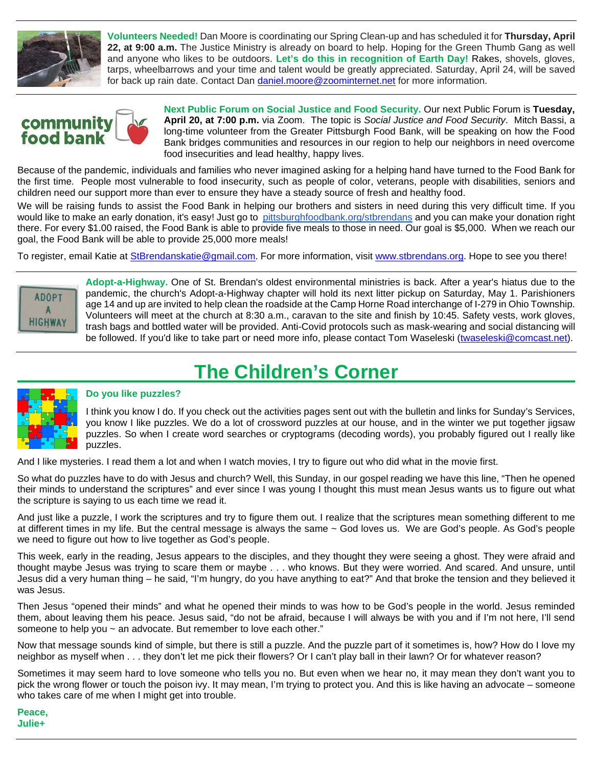

**Volunteers Needed!** Dan Moore is coordinating our Spring Clean-up and has scheduled it for **Thursday, April 22, at 9:00 a.m.** The Justice Ministry is already on board to help. Hoping for the Green Thumb Gang as well and anyone who likes to be outdoors. **Let's do this in recognition of Earth Day!** Rakes, shovels, gloves, tarps, wheelbarrows and your time and talent would be greatly appreciated. Saturday, April 24, will be saved for back up rain date. Contact Dan [daniel.moore@zoominternet.net](mailto:daniel.moore@zoominternet.net) for more information.



**Next Public Forum on Social Justice and Food Security.** Our next Public Forum is **Tuesday, April 20, at 7:00 p.m.** via Zoom. The topic is *Social Justice and Food Security*. Mitch Bassi, a long-time volunteer from the Greater Pittsburgh Food Bank, will be speaking on how the Food Bank bridges communities and resources in our region to help our neighbors in need overcome food insecurities and lead healthy, happy lives.

Because of the pandemic, individuals and families who never imagined asking for a helping hand have turned to the Food Bank for the first time. People most vulnerable to food insecurity, such as people of color, veterans, people with disabilities, seniors and children need our support more than ever to ensure they have a steady source of fresh and healthy food.

We will be raising funds to assist the Food Bank in helping our brothers and sisters in need during this very difficult time. If you would like to make an early donation, it's easy! Just go to [pittsburghfoodbank.org/stbrendans](http://pittsburghfoodbank.org/stbrendans) and you can make your donation right there. For every \$1.00 raised, the Food Bank is able to provide five meals to those in need. Our goal is \$5,000. When we reach our goal, the Food Bank will be able to provide 25,000 more meals!

To register, email Katie at [StBrendanskatie@gmail.com.](mailto:StBrendanskatie@gmail.com) For more information, visit [www.stbrendans.org.](http://www.stbrendans.org/) Hope to see you there!



**Adopt-a-Highway.** One of St. Brendan's oldest environmental ministries is back. After a year's hiatus due to the pandemic, the church's Adopt-a-Highway chapter will hold its next litter pickup on Saturday, May 1. Parishioners age 14 and up are invited to help clean the roadside at the Camp Horne Road interchange of I-279 in Ohio Township. Volunteers will meet at the church at 8:30 a.m., caravan to the site and finish by 10:45. Safety vests, work gloves, trash bags and bottled water will be provided. Anti-Covid protocols such as mask-wearing and social distancing will be followed. If you'd like to take part or need more info, please contact Tom Waseleski [\(twaseleski@comcast.net\)](mailto:twaseleski@comcast.net).

# **The Children's Corner**



# **Do you like puzzles?**

I think you know I do. If you check out the activities pages sent out with the bulletin and links for Sunday's Services, you know I like puzzles. We do a lot of crossword puzzles at our house, and in the winter we put together jigsaw puzzles. So when I create word searches or cryptograms (decoding words), you probably figured out I really like puzzles.

And I like mysteries. I read them a lot and when I watch movies, I try to figure out who did what in the movie first.

So what do puzzles have to do with Jesus and church? Well, this Sunday, in our gospel reading we have this line, "Then he opened their minds to understand the scriptures" and ever since I was young I thought this must mean Jesus wants us to figure out what the scripture is saying to us each time we read it.

And just like a puzzle, I work the scriptures and try to figure them out. I realize that the scriptures mean something different to me at different times in my life. But the central message is always the same ~ God loves us. We are God's people. As God's people we need to figure out how to live together as God's people.

This week, early in the reading, Jesus appears to the disciples, and they thought they were seeing a ghost. They were afraid and thought maybe Jesus was trying to scare them or maybe . . . who knows. But they were worried. And scared. And unsure, until Jesus did a very human thing – he said, "I'm hungry, do you have anything to eat?" And that broke the tension and they believed it was Jesus.

Then Jesus "opened their minds" and what he opened their minds to was how to be God's people in the world. Jesus reminded them, about leaving them his peace. Jesus said, "do not be afraid, because I will always be with you and if I'm not here, I'll send someone to help you ~ an advocate. But remember to love each other."

Now that message sounds kind of simple, but there is still a puzzle. And the puzzle part of it sometimes is, how? How do I love my neighbor as myself when . . . they don't let me pick their flowers? Or I can't play ball in their lawn? Or for whatever reason?

Sometimes it may seem hard to love someone who tells you no. But even when we hear no, it may mean they don't want you to pick the wrong flower or touch the poison ivy. It may mean, I'm trying to protect you. And this is like having an advocate – someone who takes care of me when I might get into trouble.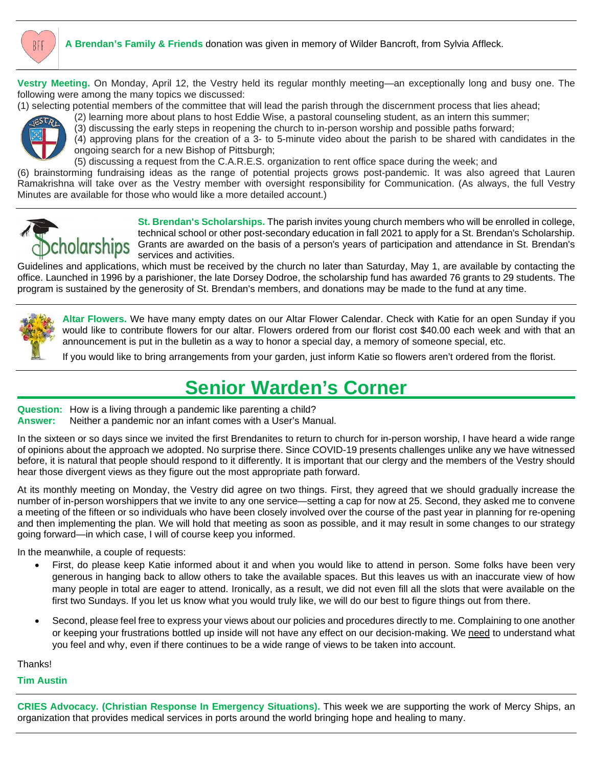

**Vestry Meeting.** On Monday, April 12, the Vestry held its regular monthly meeting—an exceptionally long and busy one. The following were among the many topics we discussed:

(1) selecting potential members of the committee that will lead the parish through the discernment process that lies ahead;



(2) learning more about plans to host Eddie Wise, a pastoral counseling student, as an intern this summer; (3) discussing the early steps in reopening the church to in-person worship and possible paths forward;

(4) approving plans for the creation of a 3- to 5-minute video about the parish to be shared with candidates in the ongoing search for a new Bishop of Pittsburgh;

(5) discussing a request from the C.A.R.E.S. organization to rent office space during the week; and

(6) brainstorming fundraising ideas as the range of potential projects grows post-pandemic. It was also agreed that Lauren Ramakrishna will take over as the Vestry member with oversight responsibility for Communication. (As always, the full Vestry Minutes are available for those who would like a more detailed account.)



**St. Brendan's Scholarships.** The parish invites young church members who will be enrolled in college, technical school or other post-secondary education in fall 2021 to apply for a St. Brendan's Scholarship. Grants are awarded on the basis of a person's years of participation and attendance in St. Brendan's services and activities.

Guidelines and applications, which must be received by the church no later than Saturday, May 1, are available by contacting the office. Launched in 1996 by a parishioner, the late Dorsey Dodroe, the scholarship fund has awarded 76 grants to 29 students. The program is sustained by the generosity of St. Brendan's members, and donations may be made to the fund at any time.



**Altar Flowers.** We have many empty dates on our Altar Flower Calendar. Check with Katie for an open Sunday if you would like to contribute flowers for our altar. Flowers ordered from our florist cost \$40.00 each week and with that an announcement is put in the bulletin as a way to honor a special day, a memory of someone special, etc.

If you would like to bring arrangements from your garden, just inform Katie so flowers aren't ordered from the florist.

# **Senior Warden's Corner**

**Question:** How is a living through a pandemic like parenting a child?

**Answer:** Neither a pandemic nor an infant comes with a User's Manual.

In the sixteen or so days since we invited the first Brendanites to return to church for in-person worship, I have heard a wide range of opinions about the approach we adopted. No surprise there. Since COVID-19 presents challenges unlike any we have witnessed before, it is natural that people should respond to it differently. It is important that our clergy and the members of the Vestry should hear those divergent views as they figure out the most appropriate path forward.

At its monthly meeting on Monday, the Vestry did agree on two things. First, they agreed that we should gradually increase the number of in-person worshippers that we invite to any one service—setting a cap for now at 25. Second, they asked me to convene a meeting of the fifteen or so individuals who have been closely involved over the course of the past year in planning for re-opening and then implementing the plan. We will hold that meeting as soon as possible, and it may result in some changes to our strategy going forward—in which case, I will of course keep you informed.

In the meanwhile, a couple of requests:

- First, do please keep Katie informed about it and when you would like to attend in person. Some folks have been very generous in hanging back to allow others to take the available spaces. But this leaves us with an inaccurate view of how many people in total are eager to attend. Ironically, as a result, we did not even fill all the slots that were available on the first two Sundays. If you let us know what you would truly like, we will do our best to figure things out from there.
- Second, please feel free to express your views about our policies and procedures directly to me. Complaining to one another or keeping your frustrations bottled up inside will not have any effect on our decision-making. We need to understand what you feel and why, even if there continues to be a wide range of views to be taken into account.

Thanks!

# **Tim Austin**

**CRIES Advocacy. (Christian Response In Emergency Situations).** This week we are supporting the work of Mercy Ships, an organization that provides medical services in ports around the world bringing hope and healing to many.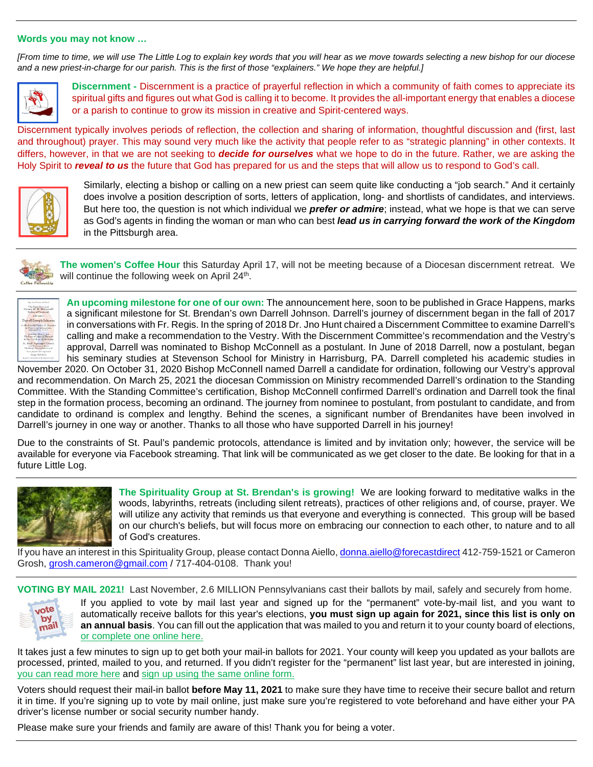#### **Words you may not know …**

*[From time to time, we will use The Little Log to explain key words that you will hear as we move towards selecting a new bishop for our diocese and a new priest-in-charge for our parish. This is the first of those "explainers." We hope they are helpful.]*



**Discernment -** Discernment is a practice of prayerful reflection in which a community of faith comes to appreciate its spiritual gifts and figures out what God is calling it to become. It provides the all-important energy that enables a diocese or a parish to continue to grow its mission in creative and Spirit-centered ways.

Discernment typically involves periods of reflection, the collection and sharing of information, thoughtful discussion and (first, last and throughout) prayer. This may sound very much like the activity that people refer to as "strategic planning" in other contexts. It differs, however, in that we are not seeking to *decide for ourselves* what we hope to do in the future. Rather, we are asking the Holy Spirit to *reveal to us* the future that God has prepared for us and the steps that will allow us to respond to God's call.



Similarly, electing a bishop or calling on a new priest can seem quite like conducting a "job search." And it certainly does involve a position description of sorts, letters of application, long- and shortlists of candidates, and interviews. But here too, the question is not which individual we *prefer or admire*; instead, what we hope is that we can serve as God's agents in finding the woman or man who can best *lead us in carrying forward the work of the Kingdom* in the Pittsburgh area.



**The women's Coffee Hour** this Saturday April 17, will not be meeting because of a Diocesan discernment retreat. We will continue the following week on April 24<sup>th</sup>.



**An upcoming milestone for one of our own:** The announcement here, soon to be published in Grace Happens, marks a significant milestone for St. Brendan's own Darrell Johnson. Darrell's journey of discernment began in the fall of 2017 in conversations with Fr. Regis. In the spring of 2018 Dr. Jno Hunt chaired a Discernment Committee to examine Darrell's calling and make a recommendation to the Vestry. With the Discernment Committee's recommendation and the Vestry's approval, Darrell was nominated to Bishop McConnell as a postulant. In June of 2018 Darrell, now a postulant, began his seminary studies at Stevenson School for Ministry in Harrisburg, PA. Darrell completed his academic studies in

November 2020. On October 31, 2020 Bishop McConnell named Darrell a candidate for ordination, following our Vestry's approval and recommendation. On March 25, 2021 the diocesan Commission on Ministry recommended Darrell's ordination to the Standing Committee. With the Standing Committee's certification, Bishop McConnell confirmed Darrell's ordination and Darrell took the final step in the formation process, becoming an ordinand. The journey from nominee to postulant, from postulant to candidate, and from candidate to ordinand is complex and lengthy. Behind the scenes, a significant number of Brendanites have been involved in Darrell's journey in one way or another. Thanks to all those who have supported Darrell in his journey!

Due to the constraints of St. Paul's pandemic protocols, attendance is limited and by invitation only; however, the service will be available for everyone via Facebook streaming. That link will be communicated as we get closer to the date. Be looking for that in a future Little Log.



**The Spirituality Group at St. Brendan's is growing!** We are looking forward to meditative walks in the woods, labyrinths, retreats (including silent retreats), practices of other religions and, of course, prayer. We will utilize any activity that reminds us that everyone and everything is connected. This group will be based on our church's beliefs, but will focus more on embracing our connection to each other, to nature and to all of God's creatures.

If you have an interest in this Spirituality Group, please contact Donna Aiello[, donna.aiello@forecastdirect](mailto:donna.aiello@forecastdirect) 412-759-1521 or Cameron Grosh, [grosh.cameron@gmail.com](mailto:grosh.cameron@gmail.com) / 717-404-0108. Thank you!

**VOTING BY MAIL 2021!** Last November, 2.6 MILLION Pennsylvanians cast their ballots by mail, safely and securely from home.



If you applied to vote by mail last year and signed up for the "permanent" vote-by-mail list, and you want to automatically receive ballots for this year's elections, **you must sign up again for 2021, since this list is only on an annual basis**. You can fill out the application that was mailed to you and return it to your county board of elections, [or complete one online here.](https://default.salsalabs.org/T2a7a6e88-cff0-4fcc-80d3-af15e4fd5023/4302b3a9-61ee-4b4b-9a27-3817954b98e5)

It takes just a few minutes to sign up to get both your mail-in ballots for 2021. Your county will keep you updated as your ballots are processed, printed, mailed to you, and returned. If you didn't register for the "permanent" list last year, but are interested in joining, [you can read more here](https://default.salsalabs.org/Tb02c1659-0823-4c13-9836-c2d5b59f9c26/4302b3a9-61ee-4b4b-9a27-3817954b98e5) and [sign up using the same online form.](https://default.salsalabs.org/Tfaf4e221-04f8-40a5-97ea-b8d86de70e70/4302b3a9-61ee-4b4b-9a27-3817954b98e5)

Voters should request their mail-in ballot **before May 11, 2021** to make sure they have time to receive their secure ballot and return it in time. If you're signing up to vote by mail online, just make sure you're registered to vote beforehand and have either your PA driver's license number or social security number handy.

Please make sure your friends and family are aware of this! Thank you for being a voter.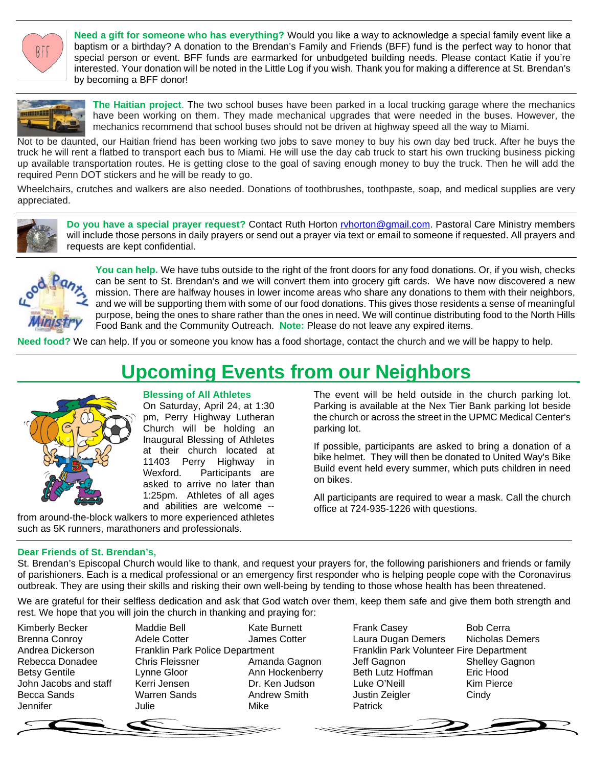BFF

**Need a gift for someone who has everything?** Would you like a way to acknowledge a special family event like a baptism or a birthday? A donation to the Brendan's Family and Friends (BFF) fund is the perfect way to honor that special person or event. BFF funds are earmarked for unbudgeted building needs. Please contact Katie if you're interested. Your donation will be noted in the Little Log if you wish. Thank you for making a difference at St. Brendan's by becoming a BFF donor!



**The Haitian project**. The two school buses have been parked in a local trucking garage where the mechanics have been working on them. They made mechanical upgrades that were needed in the buses. However, the mechanics recommend that school buses should not be driven at highway speed all the way to Miami.

Not to be daunted, our Haitian friend has been working two jobs to save money to buy his own day bed truck. After he buys the truck he will rent a flatbed to transport each bus to Miami. He will use the day cab truck to start his own trucking business picking up available transportation routes. He is getting close to the goal of saving enough money to buy the truck. Then he will add the required Penn DOT stickers and he will be ready to go.

Wheelchairs, crutches and walkers are also needed. Donations of toothbrushes, toothpaste, soap, and medical supplies are very appreciated.



**Do you have a special prayer request?** Contact Ruth Horton ruhorton@gmail.com. Pastoral Care Ministry members will include those persons in daily prayers or send out a prayer via text or email to someone if requested. All prayers and requests are kept confidential.



**You can help.** We have tubs outside to the right of the front doors for any food donations. Or, if you wish, checks can be sent to St. Brendan's and we will convert them into grocery gift cards. We have now discovered a new mission. There are halfway houses in lower income areas who share any donations to them with their neighbors, and we will be supporting them with some of our food donations. This gives those residents a sense of meaningful purpose, being the ones to share rather than the ones in need. We will continue distributing food to the North Hills Food Bank and the Community Outreach. **Note:** Please do not leave any expired items.

**Need food?** We can help. If you or someone you know has a food shortage, contact the church and we will be happy to help.

# **Upcoming Events from our Neighbors**



# **Blessing of All Athletes**

On Saturday, April 24, at 1:30 pm, Perry Highway Lutheran Church will be holding an Inaugural Blessing of Athletes at their church located at 11403 Perry Highway in Wexford. Participants are asked to arrive no later than 1:25pm. Athletes of all ages and abilities are welcome --

from around-the-block walkers to more experienced athletes such as 5K runners, marathoners and professionals.

The event will be held outside in the church parking lot. Parking is available at the Nex Tier Bank parking lot beside the church or across the street in the UPMC Medical Center's parking lot.

If possible, participants are asked to bring a donation of a bike helmet. They will then be donated to United Way's Bike Build event held every summer, which puts children in need on bikes.

All participants are required to wear a mask. Call the church office at 724-935-1226 with questions.

# **Dear Friends of St. Brendan's,**

St. Brendan's Episcopal Church would like to thank, and request your prayers for, the following parishioners and friends or family of parishioners. Each is a medical professional or an emergency first responder who is helping people cope with the Coronavirus outbreak. They are using their skills and risking their own well-being by tending to those whose health has been threatened.

We are grateful for their selfless dedication and ask that God watch over them, keep them safe and give them both strength and rest. We hope that you will join the church in thanking and praying for:

Jennifer Julie Mike Patrick

Kimberly Becker **Maddie Bell** Kate Burnett **Frank Casey** Bob Cerra Brenna Conroy **Adele Cotter** James Cotter Laura Dugan Demers Nicholas Demers Andrea Dickerson Franklin Park Police Department Franklin Park Volunteer Fire Department<br>Rebecca Donadee Chris Fleissner Amanda Gagnon Jeff Gagnon Shelley Gagno Rebecca Donadee Chris Fleissner Amanda Gagnon Jeff Gagnon Shelley Gagnon<br>Betsy Gentile Clynne Gloor Ann Hockenberry Beth Lutz Hoffman Eric Hood Lynne Gloor **Ann Hockenberry** Beth Lutz Hoffman Eric Hood John Jacobs and staff Kerri Jensen Dr. Ken Judson Luke O'Neill Kim Pierce<br>Becca Sands Warren Sands Andrew Smith Justin Zeigler Cindy Becca Sands **Marren Sands** Andrew Smith Justin Zeigler Cindy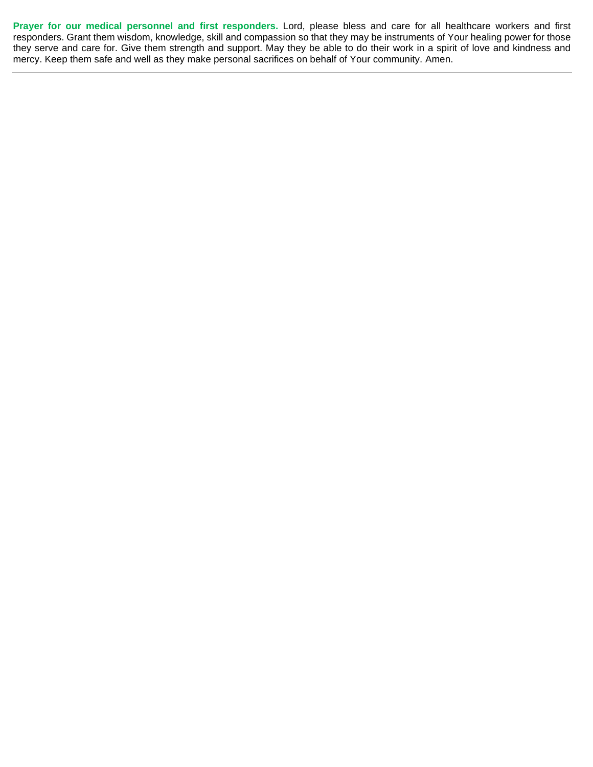**Prayer for our medical personnel and first responders.** Lord, please bless and care for all healthcare workers and first responders. Grant them wisdom, knowledge, skill and compassion so that they may be instruments of Your healing power for those they serve and care for. Give them strength and support. May they be able to do their work in a spirit of love and kindness and mercy. Keep them safe and well as they make personal sacrifices on behalf of Your community. Amen.